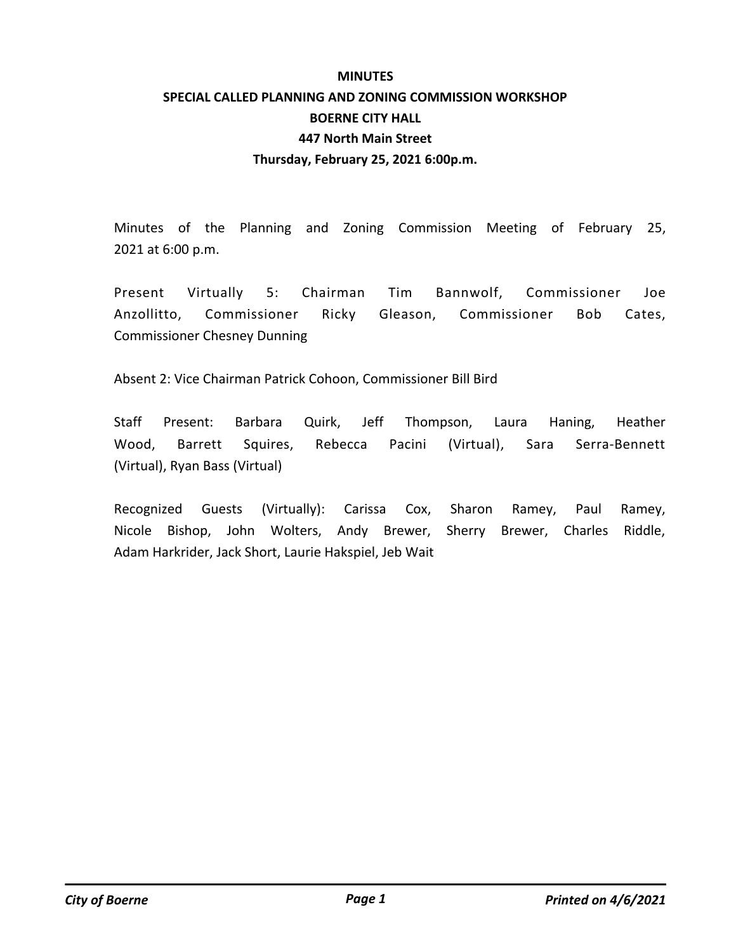# **MINUTES SPECIAL CALLED PLANNING AND ZONING COMMISSION WORKSHOP BOERNE CITY HALL 447 North Main Street Thursday, February 25, 2021 6:00p.m.**

Minutes of the Planning and Zoning Commission Meeting of February 25, 2021 at 6:00 p.m.

Present Virtually 5: Chairman Tim Bannwolf, Commissioner Joe Anzollitto, Commissioner Ricky Gleason, Commissioner Bob Cates, Commissioner Chesney Dunning

Absent 2: Vice Chairman Patrick Cohoon, Commissioner Bill Bird

Staff Present: Barbara Quirk, Jeff Thompson, Laura Haning, Heather Wood, Barrett Squires, Rebecca Pacini (Virtual), Sara Serra-Bennett (Virtual), Ryan Bass (Virtual)

Recognized Guests (Virtually): Carissa Cox, Sharon Ramey, Paul Ramey, Nicole Bishop, John Wolters, Andy Brewer, Sherry Brewer, Charles Riddle, Adam Harkrider, Jack Short, Laurie Hakspiel, Jeb Wait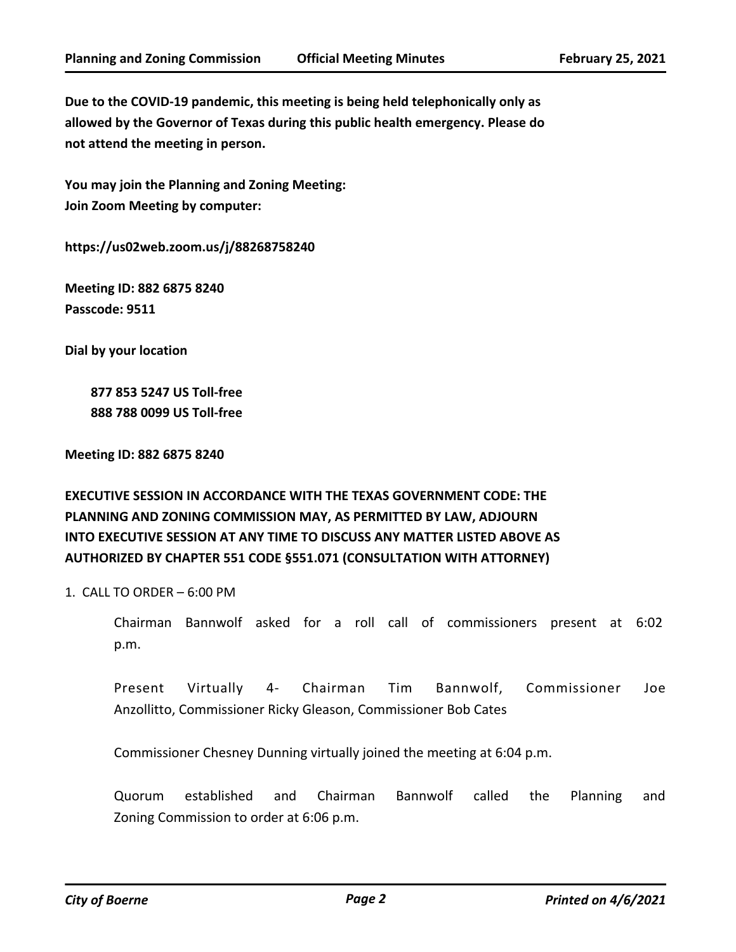**Due to the COVID-19 pandemic, this meeting is being held telephonically only as allowed by the Governor of Texas during this public health emergency. Please do not attend the meeting in person.**

**You may join the Planning and Zoning Meeting: Join Zoom Meeting by computer:**

**https://us02web.zoom.us/j/88268758240**

**Meeting ID: 882 6875 8240 Passcode: 9511**

**Dial by your location**

 **877 853 5247 US Toll-free 888 788 0099 US Toll-free**

**Meeting ID: 882 6875 8240**

# **EXECUTIVE SESSION IN ACCORDANCE WITH THE TEXAS GOVERNMENT CODE: THE PLANNING AND ZONING COMMISSION MAY, AS PERMITTED BY LAW, ADJOURN INTO EXECUTIVE SESSION AT ANY TIME TO DISCUSS ANY MATTER LISTED ABOVE AS AUTHORIZED BY CHAPTER 551 CODE §551.071 (CONSULTATION WITH ATTORNEY)**

1. CALL TO ORDER – 6:00 PM

Chairman Bannwolf asked for a roll call of commissioners present at 6:02 p.m.

Present Virtually 4- Chairman Tim Bannwolf, Commissioner Joe Anzollitto, Commissioner Ricky Gleason, Commissioner Bob Cates

Commissioner Chesney Dunning virtually joined the meeting at 6:04 p.m.

Quorum established and Chairman Bannwolf called the Planning and Zoning Commission to order at 6:06 p.m.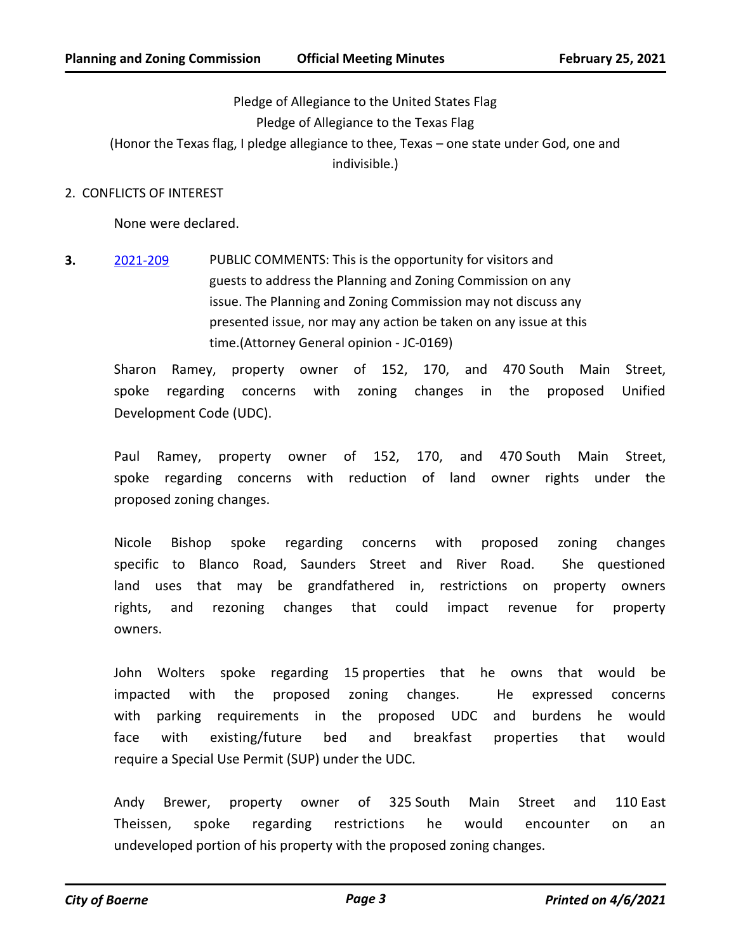Pledge of Allegiance to the United States Flag Pledge of Allegiance to the Texas Flag (Honor the Texas flag, I pledge allegiance to thee, Texas – one state under God, one and indivisible.)

### 2. CONFLICTS OF INTEREST

None were declared.

**3.** [2021-209](http://boerne.legistar.com/gateway.aspx?m=l&id=/matter.aspx?key=5781) PUBLIC COMMENTS: This is the opportunity for visitors and guests to address the Planning and Zoning Commission on any issue. The Planning and Zoning Commission may not discuss any presented issue, nor may any action be taken on any issue at this time.(Attorney General opinion - JC-0169)

Sharon Ramey, property owner of 152, 170, and 470 South Main Street, spoke regarding concerns with zoning changes in the proposed Unified Development Code (UDC).

Paul Ramey, property owner of 152, 170, and 470 South Main Street, spoke regarding concerns with reduction of land owner rights under the proposed zoning changes.

Nicole Bishop spoke regarding concerns with proposed zoning changes specific to Blanco Road, Saunders Street and River Road. She questioned land uses that may be grandfathered in, restrictions on property owners rights, and rezoning changes that could impact revenue for property owners.

John Wolters spoke regarding 15 properties that he owns that would be impacted with the proposed zoning changes. He expressed concerns with parking requirements in the proposed UDC and burdens he would face with existing/future bed and breakfast properties that would require a Special Use Permit (SUP) under the UDC.

Andy Brewer, property owner of 325 South Main Street and 110 East Theissen, spoke regarding restrictions he would encounter on an undeveloped portion of his property with the proposed zoning changes.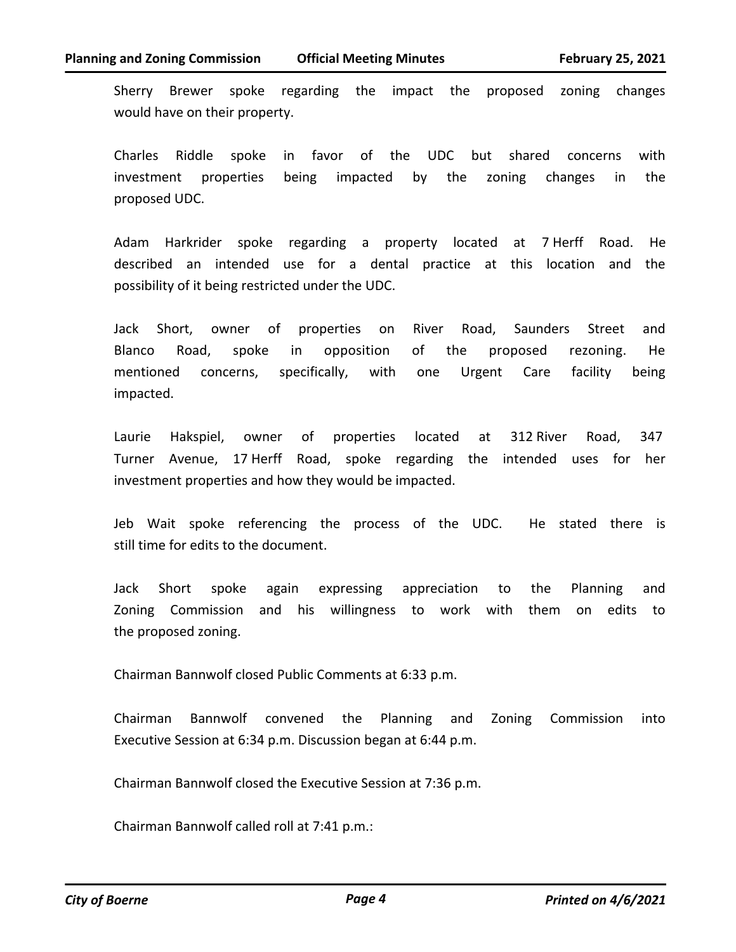Sherry Brewer spoke regarding the impact the proposed zoning changes would have on their property.

Charles Riddle spoke in favor of the UDC but shared concerns with investment properties being impacted by the zoning changes in the proposed UDC.

Adam Harkrider spoke regarding a property located at 7 Herff Road. He described an intended use for a dental practice at this location and the possibility of it being restricted under the UDC.

Jack Short, owner of properties on River Road, Saunders Street and Blanco Road, spoke in opposition of the proposed rezoning. He mentioned concerns, specifically, with one Urgent Care facility being impacted.

Laurie Hakspiel, owner of properties located at 312 River Road, 347 Turner Avenue, 17 Herff Road, spoke regarding the intended uses for her investment properties and how they would be impacted.

Jeb Wait spoke referencing the process of the UDC. He stated there is still time for edits to the document.

Jack Short spoke again expressing appreciation to the Planning and Zoning Commission and his willingness to work with them on edits to the proposed zoning.

Chairman Bannwolf closed Public Comments at 6:33 p.m.

Chairman Bannwolf convened the Planning and Zoning Commission into Executive Session at 6:34 p.m. Discussion began at 6:44 p.m.

Chairman Bannwolf closed the Executive Session at 7:36 p.m.

Chairman Bannwolf called roll at 7:41 p.m.: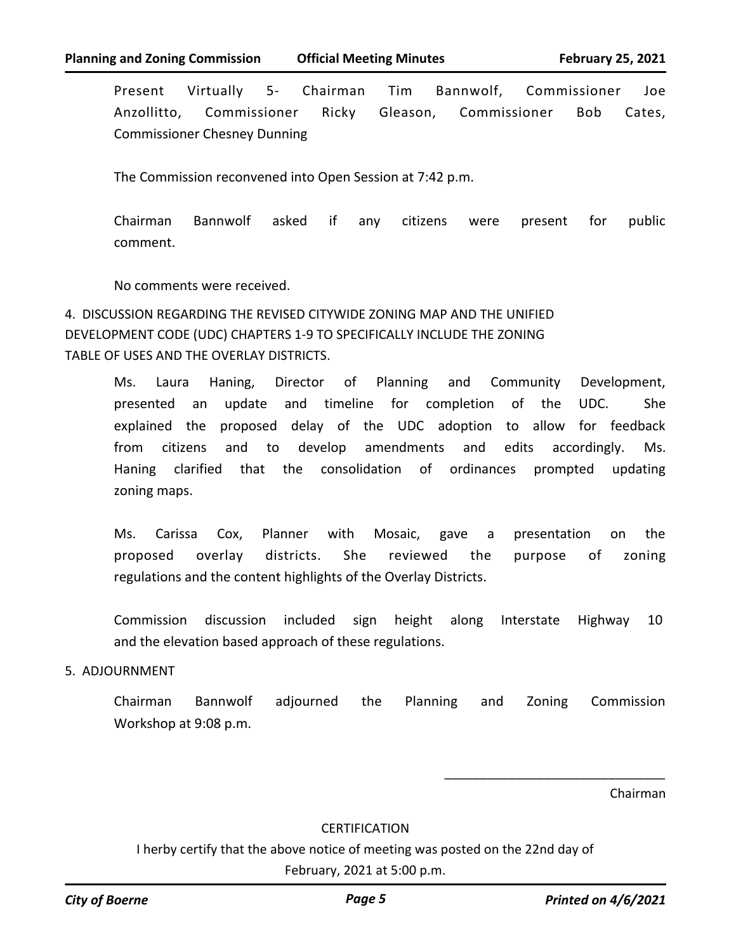Present Virtually 5- Chairman Tim Bannwolf, Commissioner Joe Anzollitto, Commissioner Ricky Gleason, Commissioner Bob Cates, Commissioner Chesney Dunning

The Commission reconvened into Open Session at 7:42 p.m.

Chairman Bannwolf asked if any citizens were present for public comment.

No comments were received.

4. DISCUSSION REGARDING THE REVISED CITYWIDE ZONING MAP AND THE UNIFIED DEVELOPMENT CODE (UDC) CHAPTERS 1-9 TO SPECIFICALLY INCLUDE THE ZONING TABLE OF USES AND THE OVERLAY DISTRICTS.

Ms. Laura Haning, Director of Planning and Community Development, presented an update and timeline for completion of the UDC. She explained the proposed delay of the UDC adoption to allow for feedback from citizens and to develop amendments and edits accordingly. Ms. Haning clarified that the consolidation of ordinances prompted updating zoning maps.

Ms. Carissa Cox, Planner with Mosaic, gave a presentation on the proposed overlay districts. She reviewed the purpose of zoning regulations and the content highlights of the Overlay Districts.

Commission discussion included sign height along Interstate Highway 10 and the elevation based approach of these regulations.

### 5. ADJOURNMENT

Chairman Bannwolf adjourned the Planning and Zoning Commission Workshop at 9:08 p.m.

Chairman

### **CERTIFICATION**

I herby certify that the above notice of meeting was posted on the 22nd day of February, 2021 at 5:00 p.m.

\_\_\_\_\_\_\_\_\_\_\_\_\_\_\_\_\_\_\_\_\_\_\_\_\_\_\_\_\_\_\_